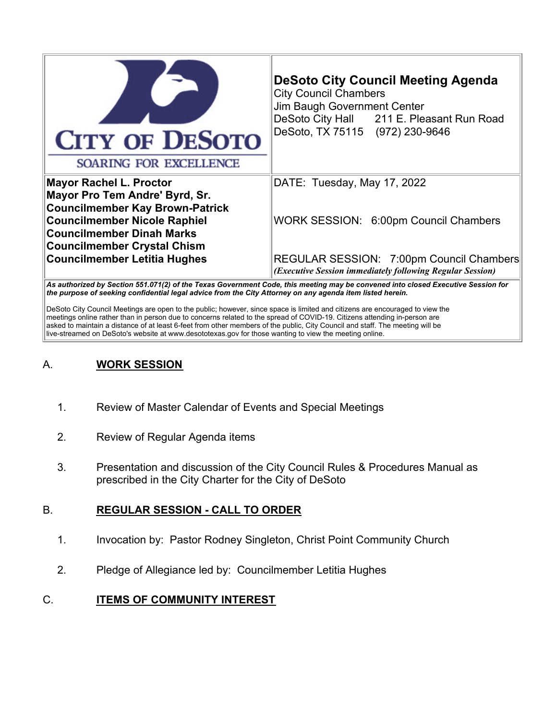| <b>CITY OF DESOTO</b><br>SOARING FOR EXCELLENCE                                                               | <b>DeSoto City Council Meeting Agenda</b><br><b>City Council Chambers</b><br>Jim Baugh Government Center<br>DeSoto City Hall 211 E. Pleasant Run Road<br>DeSoto, TX 75115 (972) 230-9646                                                  |
|---------------------------------------------------------------------------------------------------------------|-------------------------------------------------------------------------------------------------------------------------------------------------------------------------------------------------------------------------------------------|
| <b>Mayor Rachel L. Proctor</b><br>Mayor Pro Tem Andre' Byrd, Sr.<br><b>Councilmember Kay Brown-Patrick</b>    | DATE: Tuesday, May 17, 2022                                                                                                                                                                                                               |
| <b>Councilmember Nicole Raphiel</b><br><b>Councilmember Dinah Marks</b><br><b>Councilmember Crystal Chism</b> | WORK SESSION: 6:00pm Council Chambers                                                                                                                                                                                                     |
| <b>Councilmember Letitia Hughes</b>                                                                           | REGULAR SESSION: 7:00pm Council Chambers<br>(Executive Session immediately following Regular Session)<br>As outhorized by Restion EE1 071(2) of the Texas Covernment Cade, this meeting may be convened into elegan Executive Respies for |

*As authorized by Section 551.071(2) of the Texas Government Code, this meeting may be convened into closed Executive Session for the purpose of seeking confidential legal advice from the City Attorney on any agenda item listed herein.*

DeSoto City Council Meetings are open to the public; however, since space is limited and citizens are encouraged to view the meetings online rather than in person due to concerns related to the spread of COVID-19. Citizens attending in-person are asked to maintain a distance of at least 6-feet from other members of the public, City Council and staff. The meeting will be live-streamed on DeSoto's website at www.desototexas.gov for those wanting to view the meeting online.

# A. **WORK SESSION**

- 1. Review of Master Calendar of Events and Special Meetings
- 2. Review of Regular Agenda items
- 3. Presentation and discussion of the City Council Rules & Procedures Manual as prescribed in the City Charter for the City of DeSoto

### B. **REGULAR SESSION - CALL TO ORDER**

- 1. Invocation by: Pastor Rodney Singleton, Christ Point Community Church
- 2. Pledge of Allegiance led by: Councilmember Letitia Hughes

### C. **ITEMS OF COMMUNITY INTEREST**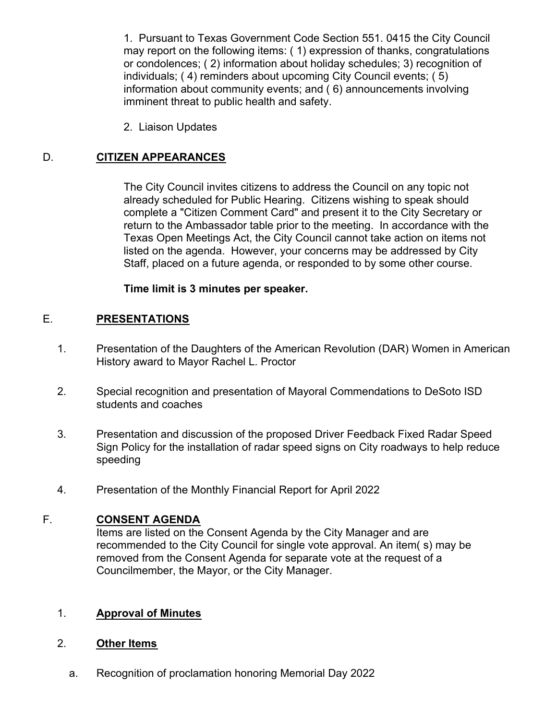1. Pursuant to Texas Government Code Section 551. 0415 the City Council may report on the following items: ( 1) expression of thanks, congratulations or condolences; ( 2) information about holiday schedules; 3) recognition of individuals; ( 4) reminders about upcoming City Council events; ( 5) information about community events; and ( 6) announcements involving imminent threat to public health and safety.

2. Liaison Updates

### D. **CITIZEN APPEARANCES**

The City Council invites citizens to address the Council on any topic not already scheduled for Public Hearing. Citizens wishing to speak should complete a "Citizen Comment Card" and present it to the City Secretary or return to the Ambassador table prior to the meeting. In accordance with the Texas Open Meetings Act, the City Council cannot take action on items not listed on the agenda. However, your concerns may be addressed by City Staff, placed on a future agenda, or responded to by some other course.

#### **Time limit is 3 minutes per speaker.**

#### E. **PRESENTATIONS**

- 1. Presentation of the Daughters of the American Revolution (DAR) Women in American History award to Mayor Rachel L. Proctor
- 2. Special recognition and presentation of Mayoral Commendations to DeSoto ISD students and coaches
- 3. Presentation and discussion of the proposed Driver Feedback Fixed Radar Speed Sign Policy for the installation of radar speed signs on City roadways to help reduce speeding
- 4. Presentation of the Monthly Financial Report for April 2022

#### F. **CONSENT AGENDA**

Items are listed on the Consent Agenda by the City Manager and are recommended to the City Council for single vote approval. An item( s) may be removed from the Consent Agenda for separate vote at the request of a Councilmember, the Mayor, or the City Manager.

### 1. **Approval of Minutes**

#### 2. **Other Items**

a. Recognition of proclamation honoring Memorial Day 2022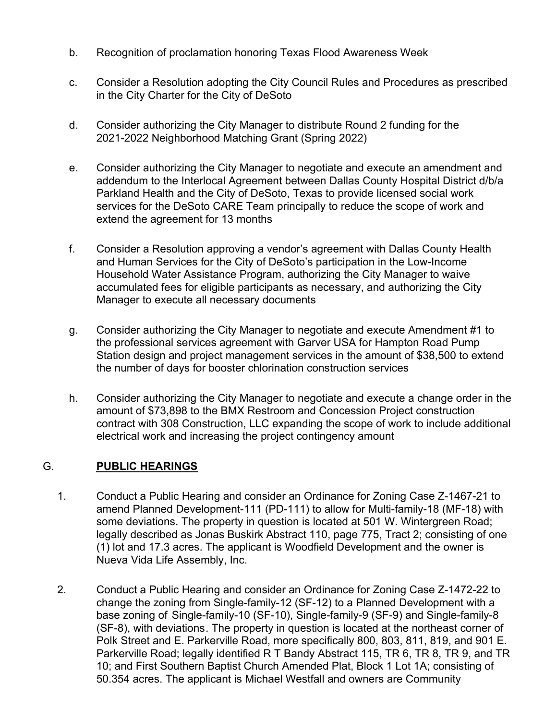- b. Recognition of proclamation honoring Texas Flood Awareness Week
- c. Consider a Resolution adopting the City Council Rules and Procedures as prescribed in the City Charter for the City of DeSoto
- d. Consider authorizing the City Manager to distribute Round 2 funding for the 2021-2022 Neighborhood Matching Grant (Spring 2022)
- e. Consider authorizing the City Manager to negotiate and execute an amendment and addendum to the Interlocal Agreement between Dallas County Hospital District d/b/a Parkland Health and the City of DeSoto, Texas to provide licensed social work services for the DeSoto CARE Team principally to reduce the scope of work and extend the agreement for 13 months
- f. Consider a Resolution approving a vendor's agreement with Dallas County Health and Human Services for the City of DeSoto's participation in the Low-Income Household Water Assistance Program, authorizing the City Manager to waive accumulated fees for eligible participants as necessary, and authorizing the City Manager to execute all necessary documents
- g. Consider authorizing the City Manager to negotiate and execute Amendment #1 to the professional services agreement with Garver USA for Hampton Road Pump Station design and project management services in the amount of \$38,500 to extend the number of days for booster chlorination construction services
- h. Consider authorizing the City Manager to negotiate and execute a change order in the amount of \$73,898 to the BMX Restroom and Concession Project construction contract with 308 Construction, LLC expanding the scope of work to include additional electrical work and increasing the project contingency amount

### G. **PUBLIC HEARINGS**

- 1. Conduct a Public Hearing and consider an Ordinance for Zoning Case Z-1467-21 to amend Planned Development-111 (PD-111) to allow for Multi-family-18 (MF-18) with some deviations. The property in question is located at 501 W. Wintergreen Road; legally described as Jonas Buskirk Abstract 110, page 775, Tract 2; consisting of one (1) lot and 17.3 acres. The applicant is Woodfield Development and the owner is Nueva Vida Life Assembly, Inc.
- 2. Conduct a Public Hearing and consider an Ordinance for Zoning Case Z-1472-22 to change the zoning from Single-family-12 (SF-12) to a Planned Development with a base zoning of Single-family-10 (SF-10), Single-family-9 (SF-9) and Single-family-8 (SF-8), with deviations. The property in question is located at the northeast corner of Polk Street and E. Parkerville Road, more specifically 800, 803, 811, 819, and 901 E. Parkerville Road; legally identified R T Bandy Abstract 115, TR 6, TR 8, TR 9, and TR 10; and First Southern Baptist Church Amended Plat, Block 1 Lot 1A; consisting of 50.354 acres. The applicant is Michael Westfall and owners are Community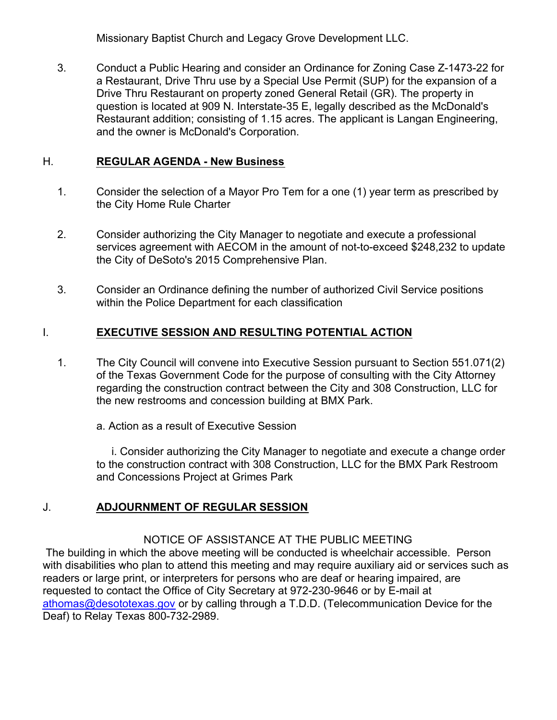Missionary Baptist Church and Legacy Grove Development LLC.

3. Conduct a Public Hearing and consider an Ordinance for Zoning Case Z-1473-22 for a Restaurant, Drive Thru use by a Special Use Permit (SUP) for the expansion of a Drive Thru Restaurant on property zoned General Retail (GR). The property in question is located at 909 N. Interstate-35 E, legally described as the McDonald's Restaurant addition; consisting of 1.15 acres. The applicant is Langan Engineering, and the owner is McDonald's Corporation.

### H. **REGULAR AGENDA - New Business**

- 1. Consider the selection of a Mayor Pro Tem for a one (1) year term as prescribed by the City Home Rule Charter
- 2. Consider authorizing the City Manager to negotiate and execute a professional services agreement with AECOM in the amount of not-to-exceed \$248,232 to update the City of DeSoto's 2015 Comprehensive Plan.
- 3. Consider an Ordinance defining the number of authorized Civil Service positions within the Police Department for each classification

## I. **EXECUTIVE SESSION AND RESULTING POTENTIAL ACTION**

1. The City Council will convene into Executive Session pursuant to Section 551.071(2) of the Texas Government Code for the purpose of consulting with the City Attorney regarding the construction contract between the City and 308 Construction, LLC for the new restrooms and concession building at BMX Park.

a. Action as a result of Executive Session

 i. Consider authorizing the City Manager to negotiate and execute a change order to the construction contract with 308 Construction, LLC for the BMX Park Restroom and Concessions Project at Grimes Park

## J. **ADJOURNMENT OF REGULAR SESSION**

## NOTICE OF ASSISTANCE AT THE PUBLIC MEETING

 The building in which the above meeting will be conducted is wheelchair accessible. Person with disabilities who plan to attend this meeting and may require auxiliary aid or services such as readers or large print, or interpreters for persons who are deaf or hearing impaired, are requested to contact the Office of City Secretary at 972-230-9646 or by E-mail at [athomas@desototexas.gov](mailto:kmorris@desototexas.gov) or by calling through a T.D.D. (Telecommunication Device for the Deaf) to Relay Texas 800-732-2989.